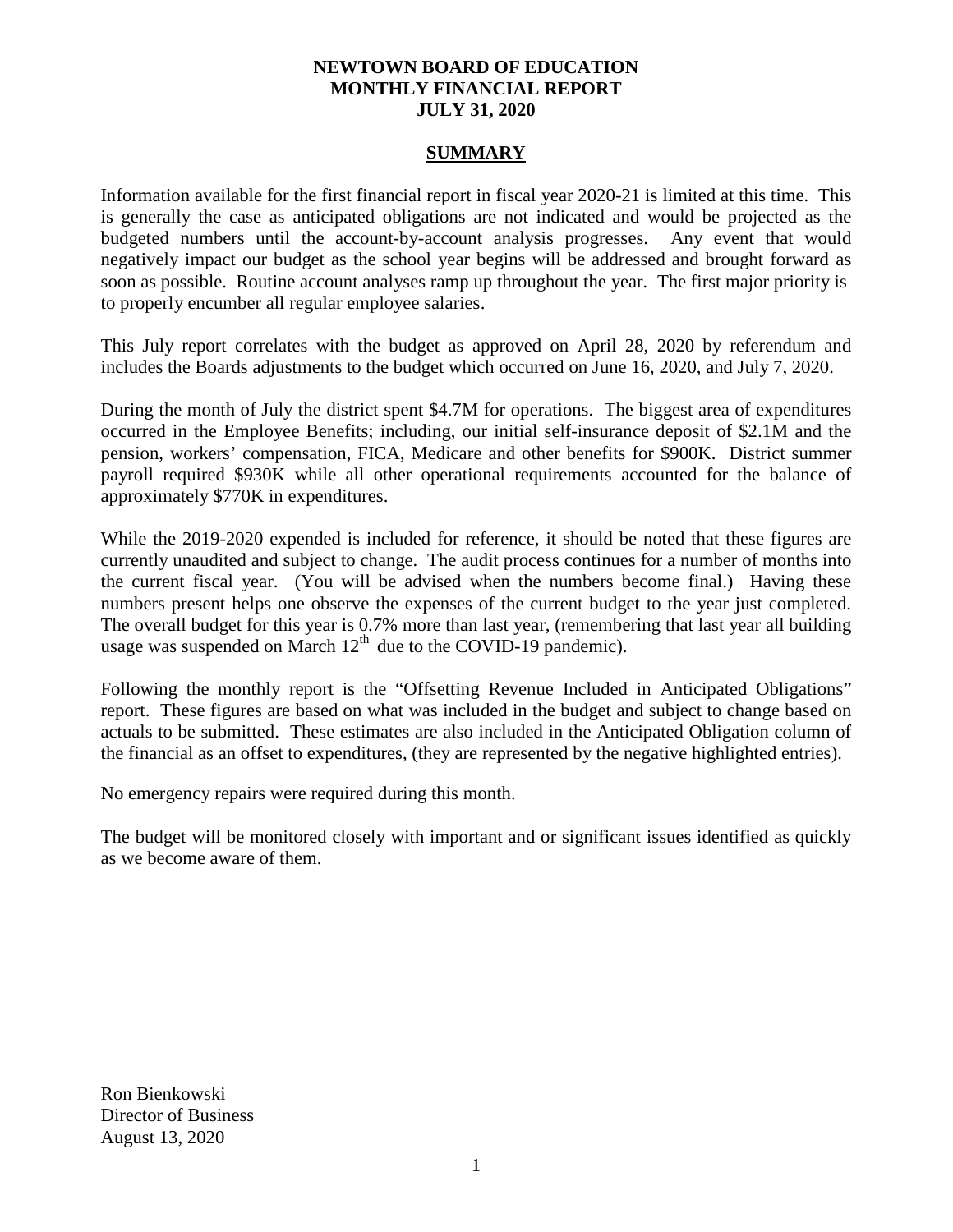### **NEWTOWN BOARD OF EDUCATION MONTHLY FINANCIAL REPORT JULY 31, 2020**

#### **SUMMARY**

Information available for the first financial report in fiscal year 2020-21 is limited at this time. This is generally the case as anticipated obligations are not indicated and would be projected as the budgeted numbers until the account-by-account analysis progresses. Any event that would negatively impact our budget as the school year begins will be addressed and brought forward as soon as possible. Routine account analyses ramp up throughout the year. The first major priority is to properly encumber all regular employee salaries.

This July report correlates with the budget as approved on April 28, 2020 by referendum and includes the Boards adjustments to the budget which occurred on June 16, 2020, and July 7, 2020.

During the month of July the district spent \$4.7M for operations. The biggest area of expenditures occurred in the Employee Benefits; including, our initial self-insurance deposit of \$2.1M and the pension, workers' compensation, FICA, Medicare and other benefits for \$900K. District summer payroll required \$930K while all other operational requirements accounted for the balance of approximately \$770K in expenditures.

While the 2019-2020 expended is included for reference, it should be noted that these figures are currently unaudited and subject to change. The audit process continues for a number of months into the current fiscal year. (You will be advised when the numbers become final.) Having these numbers present helps one observe the expenses of the current budget to the year just completed. The overall budget for this year is 0.7% more than last year, (remembering that last year all building usage was suspended on March  $12<sup>th</sup>$  due to the COVID-19 pandemic).

Following the monthly report is the "Offsetting Revenue Included in Anticipated Obligations" report. These figures are based on what was included in the budget and subject to change based on actuals to be submitted. These estimates are also included in the Anticipated Obligation column of the financial as an offset to expenditures, (they are represented by the negative highlighted entries).

No emergency repairs were required during this month.

The budget will be monitored closely with important and or significant issues identified as quickly as we become aware of them.

Ron Bienkowski Director of Business August 13, 2020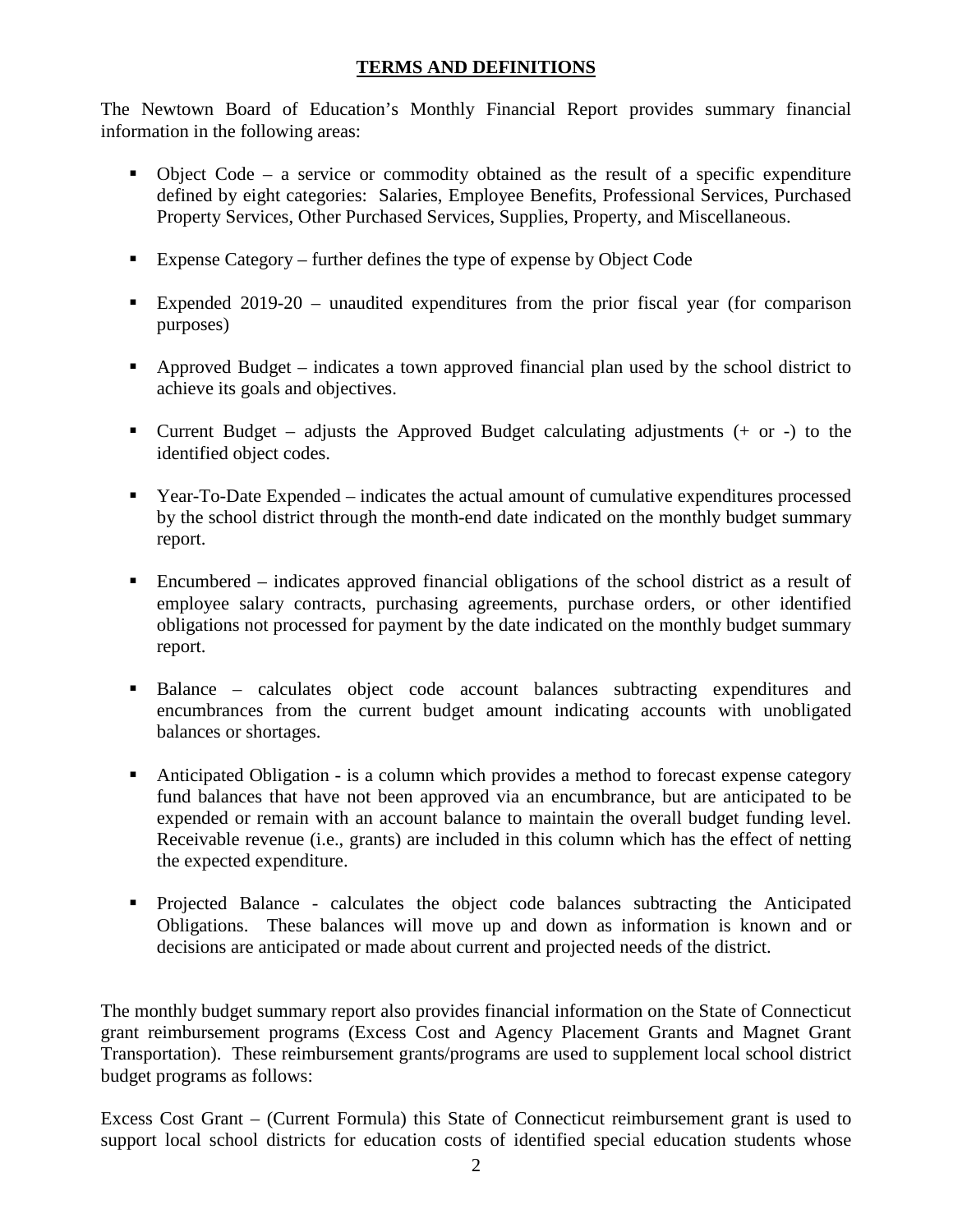## **TERMS AND DEFINITIONS**

The Newtown Board of Education's Monthly Financial Report provides summary financial information in the following areas:

- $\bullet$  Object Code a service or commodity obtained as the result of a specific expenditure defined by eight categories: Salaries, Employee Benefits, Professional Services, Purchased Property Services, Other Purchased Services, Supplies, Property, and Miscellaneous.
- Expense Category further defines the type of expense by Object Code
- Expended 2019-20 unaudited expenditures from the prior fiscal year (for comparison purposes)
- Approved Budget indicates a town approved financial plan used by the school district to achieve its goals and objectives.
- **Current Budget** adjusts the Approved Budget calculating adjustments  $(+)$  or  $-)$  to the identified object codes.
- Year-To-Date Expended indicates the actual amount of cumulative expenditures processed by the school district through the month-end date indicated on the monthly budget summary report.
- Encumbered indicates approved financial obligations of the school district as a result of employee salary contracts, purchasing agreements, purchase orders, or other identified obligations not processed for payment by the date indicated on the monthly budget summary report.
- Balance calculates object code account balances subtracting expenditures and encumbrances from the current budget amount indicating accounts with unobligated balances or shortages.
- Anticipated Obligation is a column which provides a method to forecast expense category fund balances that have not been approved via an encumbrance, but are anticipated to be expended or remain with an account balance to maintain the overall budget funding level. Receivable revenue (i.e., grants) are included in this column which has the effect of netting the expected expenditure.
- Projected Balance calculates the object code balances subtracting the Anticipated Obligations. These balances will move up and down as information is known and or decisions are anticipated or made about current and projected needs of the district.

The monthly budget summary report also provides financial information on the State of Connecticut grant reimbursement programs (Excess Cost and Agency Placement Grants and Magnet Grant Transportation). These reimbursement grants/programs are used to supplement local school district budget programs as follows:

Excess Cost Grant – (Current Formula) this State of Connecticut reimbursement grant is used to support local school districts for education costs of identified special education students whose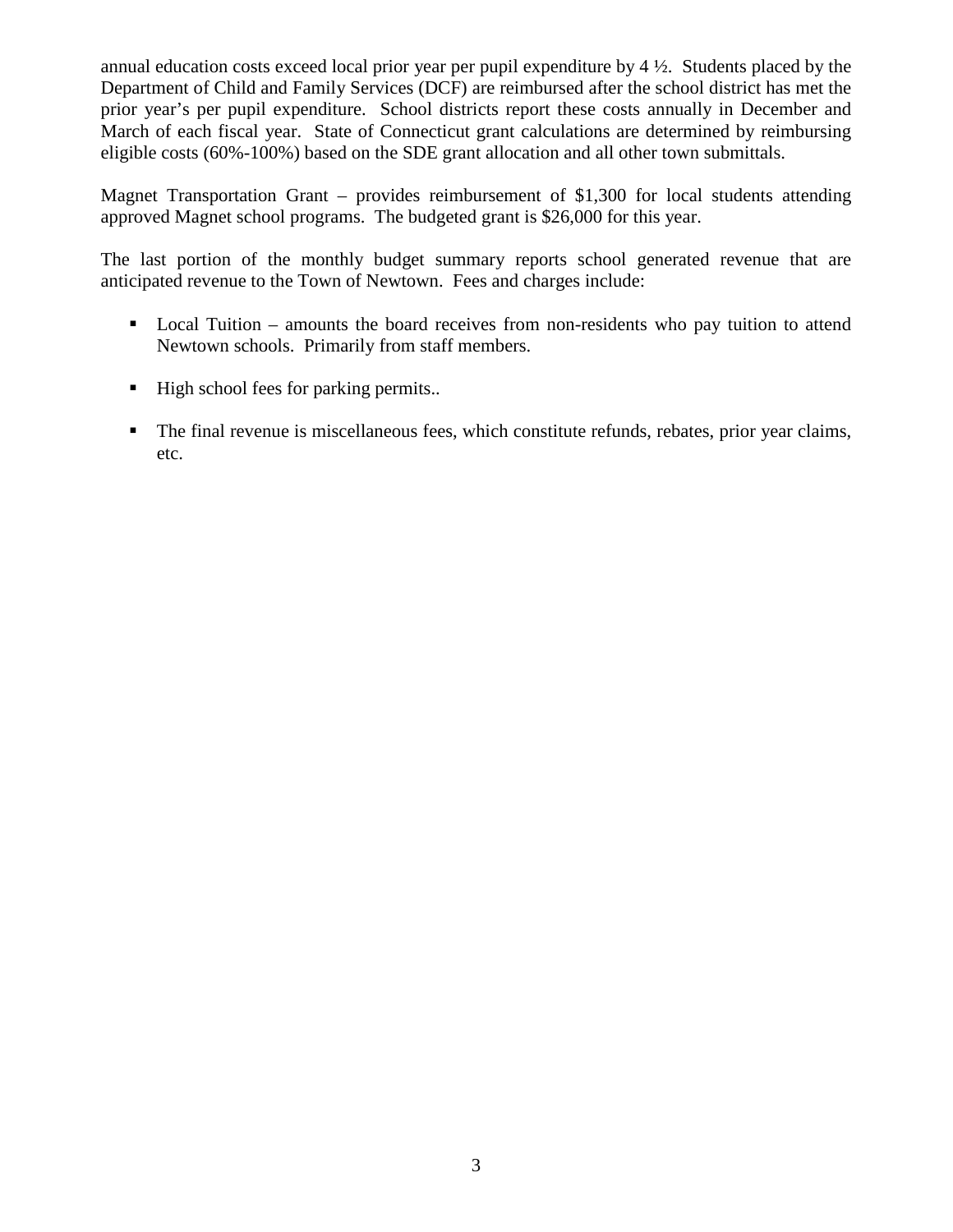annual education costs exceed local prior year per pupil expenditure by 4 ½. Students placed by the Department of Child and Family Services (DCF) are reimbursed after the school district has met the prior year's per pupil expenditure. School districts report these costs annually in December and March of each fiscal year. State of Connecticut grant calculations are determined by reimbursing eligible costs (60%-100%) based on the SDE grant allocation and all other town submittals.

Magnet Transportation Grant – provides reimbursement of \$1,300 for local students attending approved Magnet school programs. The budgeted grant is \$26,000 for this year.

The last portion of the monthly budget summary reports school generated revenue that are anticipated revenue to the Town of Newtown. Fees and charges include:

- Local Tuition amounts the board receives from non-residents who pay tuition to attend Newtown schools. Primarily from staff members.
- High school fees for parking permits..
- The final revenue is miscellaneous fees, which constitute refunds, rebates, prior year claims, etc.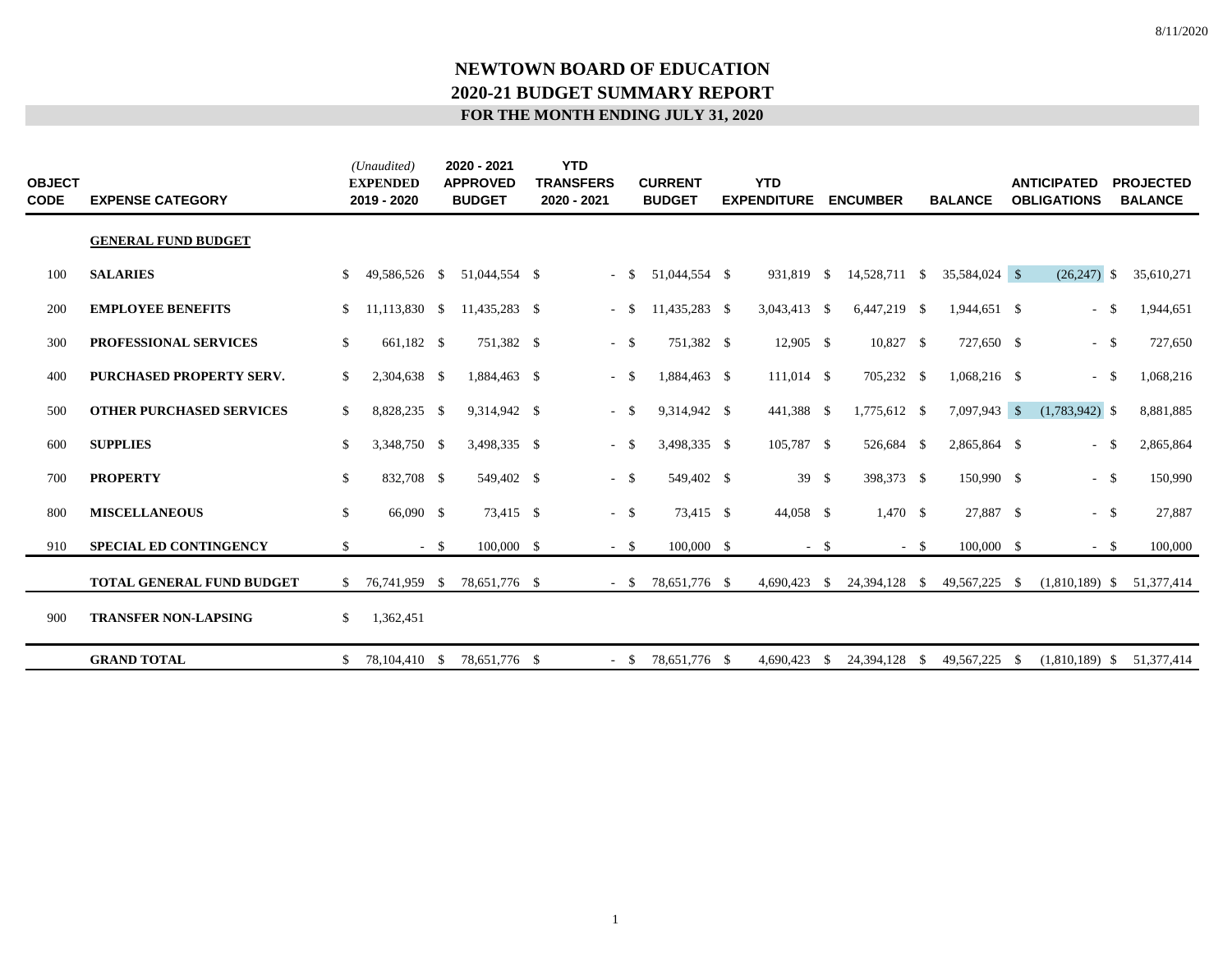| <b>OBJECT</b><br><b>CODE</b> | <b>EXPENSE CATEGORY</b>         |               | (Unaudited)<br><b>EXPENDED</b><br>2019 - 2020 |        | 2020 - 2021<br><b>APPROVED</b><br><b>BUDGET</b> | <b>YTD</b><br><b>TRANSFERS</b><br>2020 - 2021 |        | <b>CURRENT</b><br><b>BUDGET</b> | <b>YTD</b><br><b>EXPENDITURE</b> |        | <b>ENCUMBER</b> |        | <b>BALANCE</b> |      | <b>ANTICIPATED</b><br><b>OBLIGATIONS</b> | <b>PROJECTED</b><br><b>BALANCE</b> |
|------------------------------|---------------------------------|---------------|-----------------------------------------------|--------|-------------------------------------------------|-----------------------------------------------|--------|---------------------------------|----------------------------------|--------|-----------------|--------|----------------|------|------------------------------------------|------------------------------------|
|                              | <b>GENERAL FUND BUDGET</b>      |               |                                               |        |                                                 |                                               |        |                                 |                                  |        |                 |        |                |      |                                          |                                    |
| 100                          | <b>SALARIES</b>                 | \$            | 49,586,526 \$                                 |        | 51,044,554 \$                                   |                                               | $-$ \$ | 51,044,554 \$                   | 931,819 \$                       |        | 14,528,711 \$   |        | 35,584,024 \$  |      | $(26,247)$ \$                            | 35,610,271                         |
| 200                          | <b>EMPLOYEE BENEFITS</b>        | \$            | 11,113,830 \$                                 |        | 11,435,283 \$                                   |                                               | $-$ \$ | 11,435,283 \$                   | 3,043,413 \$                     |        | 6,447,219 \$    |        | 1,944,651 \$   |      | $-$ \$                                   | 1,944,651                          |
| 300                          | PROFESSIONAL SERVICES           | \$            | 661,182 \$                                    |        | 751,382 \$                                      |                                               | $-$ \$ | 751,382 \$                      | 12,905 \$                        |        | 10,827 \$       |        | 727,650 \$     |      | $-$ \$                                   | 727,650                            |
| 400                          | PURCHASED PROPERTY SERV.        | \$            | 2,304,638 \$                                  |        | 1,884,463 \$                                    |                                               | $-$ \$ | 1,884,463 \$                    | $111,014$ \$                     |        | 705,232 \$      |        | $1,068,216$ \$ |      | $-$ \$                                   | 1,068,216                          |
| 500                          | <b>OTHER PURCHASED SERVICES</b> | \$            | 8,828,235 \$                                  |        | 9,314,942 \$                                    |                                               | $-$ \$ | 9,314,942 \$                    | 441,388 \$                       |        | 1,775,612 \$    |        | 7,097,943 \$   |      | $(1,783,942)$ \$                         | 8,881,885                          |
| 600                          | <b>SUPPLIES</b>                 | \$            | 3,348,750 \$                                  |        | 3,498,335 \$                                    | $\sim$                                        | -S     | 3,498,335 \$                    | 105,787 \$                       |        | 526,684 \$      |        | 2,865,864 \$   |      | $-$ \$                                   | 2,865,864                          |
| 700                          | <b>PROPERTY</b>                 | \$            | 832,708 \$                                    |        | 549,402 \$                                      |                                               | $-$ \$ | 549,402 \$                      | 39 \$                            |        | 398,373 \$      |        | 150,990 \$     |      | $-$ \$                                   | 150,990                            |
| 800                          | <b>MISCELLANEOUS</b>            | \$            | 66,090 \$                                     |        | 73,415 \$                                       |                                               | $-$ \$ | 73,415 \$                       | 44,058 \$                        |        | $1,470$ \$      |        | 27,887 \$      |      | $-$ \$                                   | 27,887                             |
| 910                          | <b>SPECIAL ED CONTINGENCY</b>   | \$            |                                               | $-$ \$ | 100,000 \$                                      |                                               | $-$ \$ | 100,000 \$                      |                                  | $-$ \$ |                 | $-$ \$ | 100,000 \$     |      | $-$ \$                                   | 100,000                            |
|                              | TOTAL GENERAL FUND BUDGET       | <sup>\$</sup> | 76,741,959 \$                                 |        | 78,651,776 \$                                   |                                               | $-$ \$ | 78,651,776 \$                   | 4,690,423                        | - \$   | 24,394,128 \$   |        | 49,567,225 \$  |      | $(1,810,189)$ \$                         | 51,377,414                         |
| 900                          | <b>TRANSFER NON-LAPSING</b>     | \$            | 1,362,451                                     |        |                                                 |                                               |        |                                 |                                  |        |                 |        |                |      |                                          |                                    |
|                              | <b>GRAND TOTAL</b>              | \$            | 78,104,410 \$                                 |        | 78,651,776 \$                                   |                                               | $- S$  | 78,651,776 \$                   | 4,690,423 \$                     |        | 24,394,128      | - \$   | 49,567,225     | - \$ | $(1,810,189)$ \$                         | 51,377,414                         |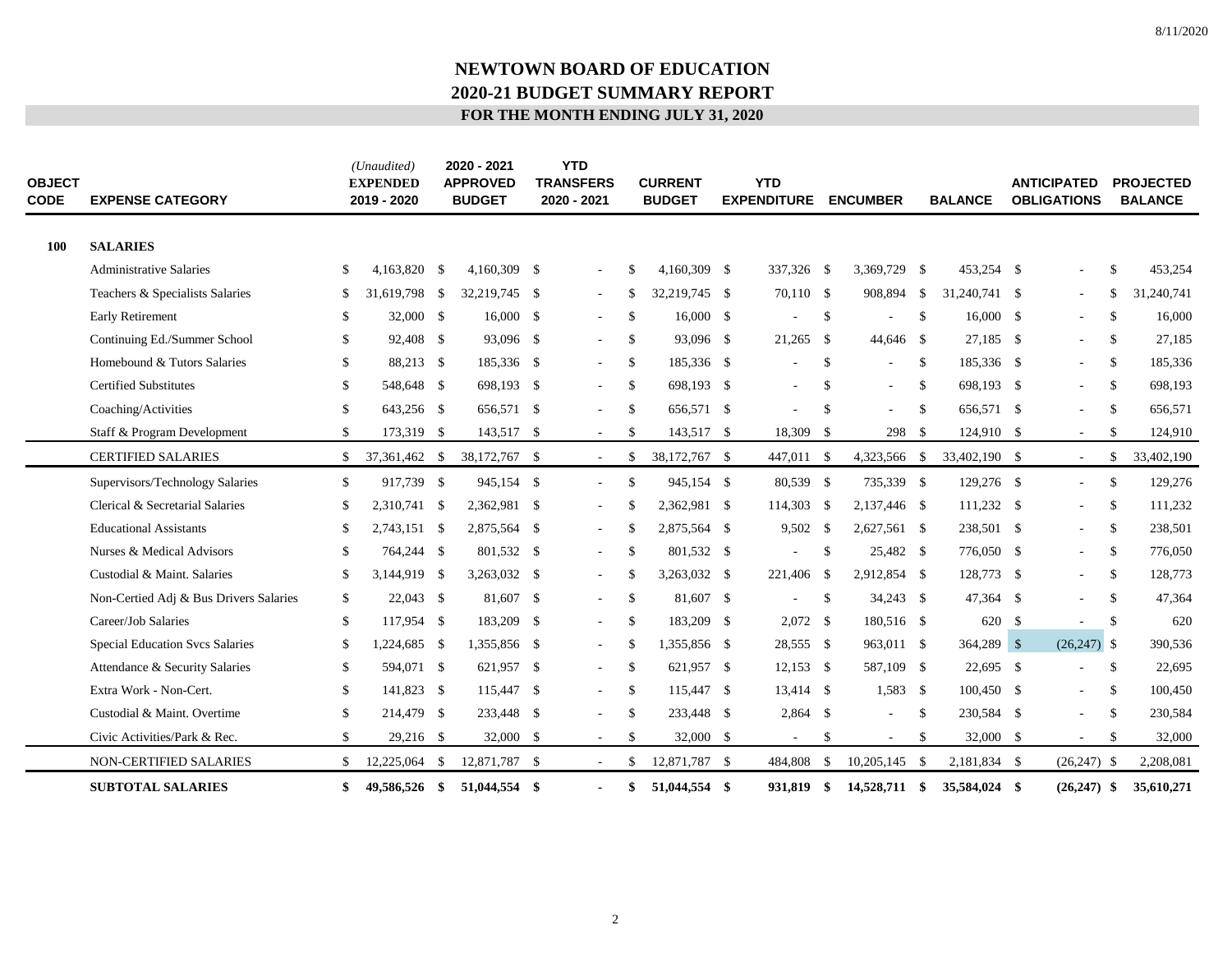| <b>OBJECT</b><br><b>CODE</b> | <b>EXPENSE CATEGORY</b>                |              | (Unaudited)<br><b>EXPENDED</b><br>2019 - 2020 | 2020 - 2021<br><b>APPROVED</b><br><b>BUDGET</b> | <b>YTD</b><br><b>TRANSFERS</b><br>2020 - 2021 |               | <b>CURRENT</b><br><b>BUDGET</b> | <b>YTD</b><br><b>EXPENDITURE</b> |               | <b>ENCUMBER</b> |               | <b>BALANCE</b> | <b>ANTICIPATED</b><br><b>OBLIGATIONS</b> |               | <b>PROJECTED</b><br><b>BALANCE</b> |
|------------------------------|----------------------------------------|--------------|-----------------------------------------------|-------------------------------------------------|-----------------------------------------------|---------------|---------------------------------|----------------------------------|---------------|-----------------|---------------|----------------|------------------------------------------|---------------|------------------------------------|
| <b>100</b>                   | <b>SALARIES</b>                        |              |                                               |                                                 |                                               |               |                                 |                                  |               |                 |               |                |                                          |               |                                    |
|                              | <b>Administrative Salaries</b>         | \$           | 4,163,820 \$                                  | 4,160,309 \$                                    | $\overline{\phantom{a}}$                      | \$.           | 4.160.309 \$                    | 337,326 \$                       |               | 3,369,729 \$    |               | 453,254 \$     | ÷                                        | \$            | 453,254                            |
|                              | Teachers & Specialists Salaries        | \$           | 31,619,798 \$                                 | 32,219,745 \$                                   | $\sim$                                        | \$.           | 32,219,745 \$                   | 70,110 \$                        |               | 908,894         | - \$          | 31,240,741 \$  | $\overline{\phantom{a}}$                 | <sup>\$</sup> | 31,240,741                         |
|                              | <b>Early Retirement</b>                | \$           | 32,000 \$                                     | 16,000 \$                                       | $\sim$                                        | <sup>\$</sup> | 16,000 \$                       |                                  | \$            |                 | $\mathbb{S}$  | $16,000$ \$    | $\sim$                                   | S.            | 16,000                             |
|                              | Continuing Ed./Summer School           | \$           | 92,408 \$                                     | 93,096 \$                                       | $\sim$                                        | <sup>\$</sup> | 93,096 \$                       | 21,265 \$                        |               | 44,646 \$       |               | 27.185 \$      | $\overline{\phantom{a}}$                 | <sup>\$</sup> | 27,185                             |
|                              | Homebound & Tutors Salaries            | \$           | 88,213 \$                                     | 185,336 \$                                      | $\sim$                                        | <sup>\$</sup> | 185,336 \$                      |                                  | \$            | ÷,              | $\mathbb{S}$  | 185,336 \$     | $\overline{\phantom{a}}$                 | <sup>\$</sup> | 185,336                            |
|                              | <b>Certified Substitutes</b>           | \$           | 548,648 \$                                    | 698,193 \$                                      | $\sim$                                        | \$            | 698,193 \$                      | $\sim$                           | $\mathbb{S}$  | $\sim$          | $\mathbb{S}$  | 698,193 \$     | $\overline{\phantom{a}}$                 | <sup>S</sup>  | 698,193                            |
|                              | Coaching/Activities                    | \$           | 643,256 \$                                    | 656,571 \$                                      |                                               | \$            | 656,571 \$                      |                                  | <sup>\$</sup> | $\sim$          | <sup>\$</sup> | 656,571 \$     | $\overline{\phantom{a}}$                 | <sup>\$</sup> | 656,571                            |
|                              | Staff & Program Development            | \$           | 173,319 \$                                    | 143,517 \$                                      | $\sim$                                        | \$            | 143,517 \$                      | 18,309 \$                        |               | 298             | - \$          | 124,910 \$     | $\sim$                                   | <sup>\$</sup> | 124,910                            |
|                              | <b>CERTIFIED SALARIES</b>              | \$           | 37,361,462 \$                                 | 38,172,767 \$                                   | $\overline{\phantom{a}}$                      | \$            | 38,172,767 \$                   | 447,011 \$                       |               | 4,323,566 \$    |               | 33,402,190 \$  | $\mathcal{L}_{\mathcal{A}}$              | \$            | 33,402,190                         |
|                              | Supervisors/Technology Salaries        | \$           | 917,739 \$                                    | 945,154 \$                                      | $\sim$                                        | $\mathcal{S}$ | 945,154 \$                      | 80,539 \$                        |               | 735,339 \$      |               | 129,276 \$     | $\overline{\phantom{a}}$                 | $\mathbb{S}$  | 129,276                            |
|                              | Clerical & Secretarial Salaries        | \$           | 2,310,741 \$                                  | 2,362,981 \$                                    | $\overline{\phantom{a}}$                      | \$            | 2,362,981 \$                    | 114,303 \$                       |               | 2,137,446 \$    |               | 111,232 \$     | $\overline{\phantom{a}}$                 | $\mathbb{S}$  | 111,232                            |
|                              | <b>Educational Assistants</b>          | \$           | 2,743,151 \$                                  | 2,875,564 \$                                    | $\sim$                                        | S             | 2,875,564 \$                    | 9,502 \$                         |               | 2,627,561 \$    |               | 238,501 \$     | ÷                                        | <sup>\$</sup> | 238,501                            |
|                              | Nurses & Medical Advisors              | \$           | 764,244 \$                                    | 801,532 \$                                      | $\sim$                                        | \$            | 801,532 \$                      | $\sim$                           | $\mathbb{S}$  | 25,482 \$       |               | 776,050 \$     | $\overline{\phantom{a}}$                 | $\mathbb{S}$  | 776,050                            |
|                              | Custodial & Maint. Salaries            | \$           | 3,144,919 \$                                  | 3,263,032 \$                                    | $\overline{\phantom{a}}$                      | \$            | 3,263,032 \$                    | 221,406 \$                       |               | 2,912,854 \$    |               | 128,773 \$     | $\overline{\phantom{a}}$                 | $\mathbb{S}$  | 128,773                            |
|                              | Non-Certied Adj & Bus Drivers Salaries | \$           | $22,043$ \$                                   | 81,607 \$                                       | $\sim$                                        | $\mathbb{S}$  | 81,607 \$                       | $\sim$                           | $\mathbb{S}$  | 34,243 \$       |               | 47,364 \$      | $\overline{\phantom{a}}$                 | <sup>\$</sup> | 47,364                             |
|                              | Career/Job Salaries                    | \$           | 117,954 \$                                    | 183,209 \$                                      | $\sim$                                        | $\mathcal{S}$ | 183,209 \$                      | $2,072$ \$                       |               | 180,516 \$      |               | 620 \$         | $\overline{\phantom{a}}$                 | $\mathbb{S}$  | 620                                |
|                              | <b>Special Education Svcs Salaries</b> | \$           | 1,224,685 \$                                  | 1,355,856 \$                                    | $\overline{\phantom{a}}$                      | \$            | 1,355,856 \$                    | 28,555 \$                        |               | 963,011 \$      |               | $364,289$ \$   | $(26,247)$ \$                            |               | 390,536                            |
|                              | Attendance & Security Salaries         | \$           | 594,071 \$                                    | 621,957 \$                                      | $\sim$                                        | $\mathcal{S}$ | 621,957 \$                      | $12,153$ \$                      |               | 587,109 \$      |               | 22,695 \$      |                                          | $\mathbb{S}$  | 22,695                             |
|                              | Extra Work - Non-Cert.                 | \$           | 141,823 \$                                    | 115,447 \$                                      | $\overline{\phantom{a}}$                      | \$            | 115,447 \$                      | 13,414 \$                        |               | $1,583$ \$      |               | $100,450$ \$   | $\sim$                                   | $\mathbb{S}$  | 100,450                            |
|                              | Custodial & Maint. Overtime            | \$           | 214,479 \$                                    | 233,448 \$                                      |                                               | \$            | 233,448 \$                      | $2,864$ \$                       |               |                 | $\mathbb{S}$  | 230,584 \$     | ÷,                                       | <sup>\$</sup> | 230,584                            |
|                              | Civic Activities/Park & Rec.           | $\mathbb{S}$ | 29,216 \$                                     | 32,000 \$                                       | $\overline{\phantom{a}}$                      | \$            | 32,000 \$                       |                                  | \$            | $\sim$          | $\mathbb{S}$  | 32,000 \$      | $\overline{\phantom{a}}$                 | \$            | 32,000                             |
|                              | <b>NON-CERTIFIED SALARIES</b>          | \$           | 12,225,064 \$                                 | 12,871,787 \$                                   | $\sim$                                        | \$.           | 12,871,787 \$                   | 484,808                          | $\mathbb{S}$  | 10,205,145      | - \$          | 2,181,834 \$   | $(26,247)$ \$                            |               | 2,208,081                          |
|                              | <b>SUBTOTAL SALARIES</b>               | \$           | 49,586,526 \$                                 | 51,044,554 \$                                   |                                               | \$            | 51,044,554 \$                   | 931,819 \$                       |               | 14,528,711 \$   |               | 35,584,024 \$  | $(26,247)$ \$                            |               | 35,610,271                         |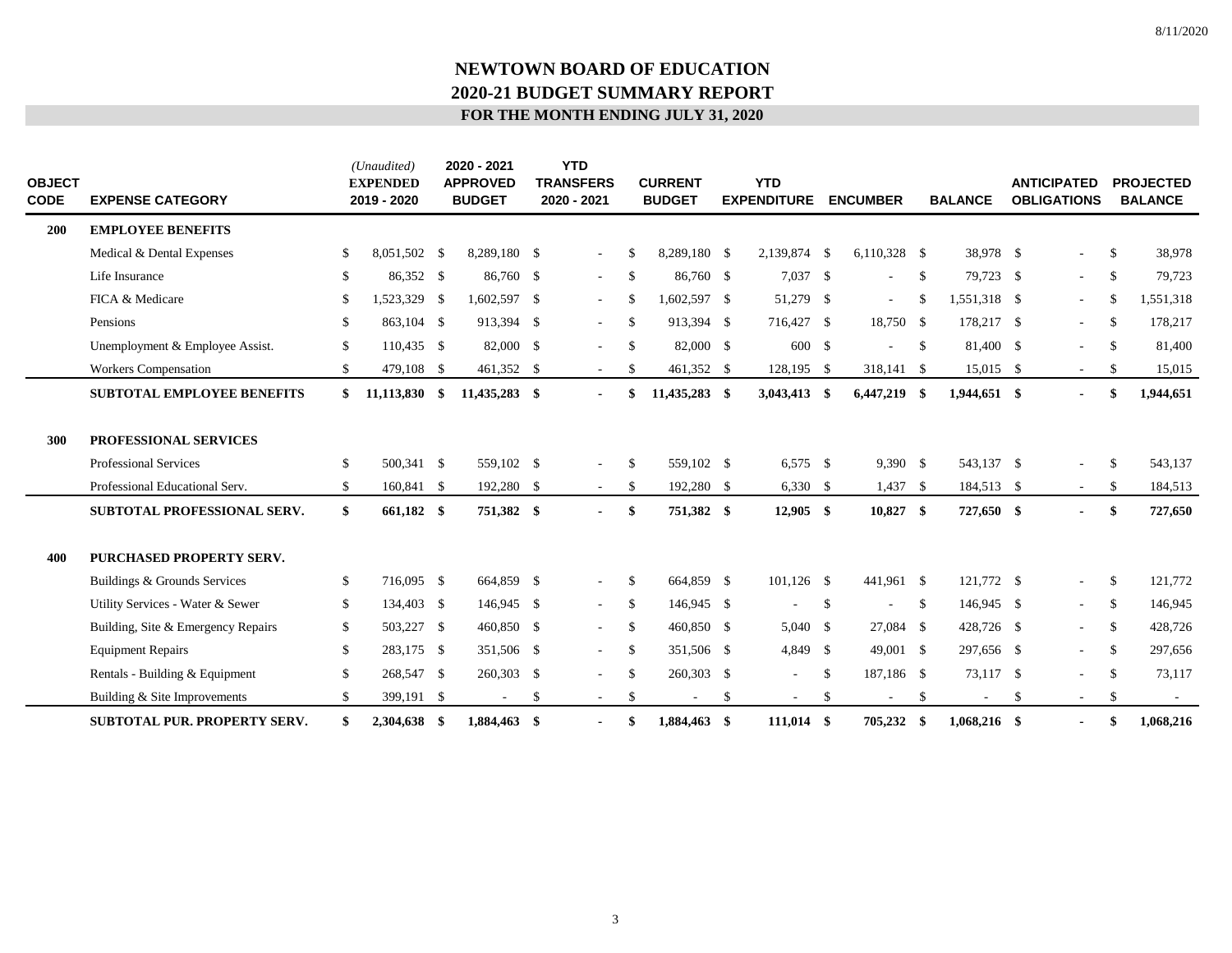| <b>OBJECT</b><br><b>CODE</b> | <b>EXPENSE CATEGORY</b>             | (Unaudited)<br><b>EXPENDED</b><br>2019 - 2020 | 2020 - 2021<br><b>APPROVED</b><br><b>BUDGET</b> |    | <b>YTD</b><br><b>TRANSFERS</b><br>2020 - 2021 |               | <b>CURRENT</b><br><b>BUDGET</b> |               | <b>YTD</b><br><b>EXPENDITURE</b> |               | <b>ENCUMBER</b> |               | <b>BALANCE</b> |    | <b>ANTICIPATED</b><br><b>OBLIGATIONS</b> |               | <b>PROJECTED</b><br><b>BALANCE</b> |
|------------------------------|-------------------------------------|-----------------------------------------------|-------------------------------------------------|----|-----------------------------------------------|---------------|---------------------------------|---------------|----------------------------------|---------------|-----------------|---------------|----------------|----|------------------------------------------|---------------|------------------------------------|
| 200                          | <b>EMPLOYEE BENEFITS</b>            |                                               |                                                 |    |                                               |               |                                 |               |                                  |               |                 |               |                |    |                                          |               |                                    |
|                              | Medical & Dental Expenses           | \$<br>8,051,502 \$                            | 8,289,180 \$                                    |    | $\sim$                                        | \$.           | 8,289,180 \$                    |               | 2,139,874 \$                     |               | $6,110,328$ \$  |               | 38,978 \$      |    | $\overline{\phantom{a}}$                 | $\mathbb{S}$  | 38,978                             |
|                              | Life Insurance                      | \$<br>86,352 \$                               | 86,760 \$                                       |    | $\sim$                                        | $\mathbb{S}$  | 86,760 \$                       |               | 7,037 \$                         |               | $\sim$          | $\mathbb{S}$  | 79,723 \$      |    | $\overline{\phantom{a}}$                 | \$            | 79,723                             |
|                              | FICA & Medicare                     | \$<br>1,523,329 \$                            | 1,602,597 \$                                    |    | $\sim$                                        | \$            | 1,602,597 \$                    |               | 51,279 \$                        |               | $\sim$          | \$            | 1,551,318 \$   |    | $\sim$                                   | \$            | 1,551,318                          |
|                              | Pensions                            | \$<br>863,104 \$                              | 913,394 \$                                      |    | $\sim$ 10 $\pm$                               | <sup>\$</sup> | 913,394 \$                      |               | 716,427 \$                       |               | 18,750 \$       |               | 178,217 \$     |    | $\sim$                                   | \$            | 178,217                            |
|                              | Unemployment & Employee Assist.     | \$<br>110,435 \$                              | 82,000 \$                                       |    | $\sim$ 10 $\pm$                               | $\mathbb{S}$  | 82,000 \$                       |               | 600 \$                           |               |                 | \$            | 81,400 \$      |    | $\sim$                                   | $\mathbb{S}$  | 81,400                             |
|                              | <b>Workers Compensation</b>         | \$<br>479,108 \$                              | 461,352 \$                                      |    |                                               | \$            | 461,352 \$                      |               | 128,195 \$                       |               | 318,141 \$      |               | $15,015$ \$    |    | $\sim$                                   | \$            | 15,015                             |
|                              | SUBTOTAL EMPLOYEE BENEFITS          | \$<br>$11,113,830$ \$                         | 11,435,283 \$                                   |    |                                               |               | 11,435,283 \$                   |               | 3,043,413 \$                     |               | 6,447,219       | - \$          | 1,944,651 \$   |    | $\blacksquare$                           | \$            | 1,944,651                          |
| 300                          | PROFESSIONAL SERVICES               |                                               |                                                 |    |                                               |               |                                 |               |                                  |               |                 |               |                |    |                                          |               |                                    |
|                              | Professional Services               | \$<br>500,341 \$                              | 559,102 \$                                      |    | $\sim$                                        | \$            | 559,102 \$                      |               | $6,575$ \$                       |               | 9,390 \$        |               | 543,137 \$     |    |                                          | $\mathbb{S}$  | 543,137                            |
|                              | Professional Educational Serv.      | \$<br>160,841 \$                              | 192,280 \$                                      |    | $\sim$                                        | -S            | 192,280 \$                      |               | $6,330$ \$                       |               | $1,437$ \$      |               | 184,513 \$     |    | $\sim$                                   | -S            | 184,513                            |
|                              | SUBTOTAL PROFESSIONAL SERV.         | \$<br>661,182 \$                              | 751,382 \$                                      |    | $\blacksquare$                                | \$            | 751,382 \$                      |               | $12,905$ \$                      |               | $10,827$ \$     |               | 727,650 \$     |    | $\blacksquare$                           | \$            | 727,650                            |
| 400                          | PURCHASED PROPERTY SERV.            |                                               |                                                 |    |                                               |               |                                 |               |                                  |               |                 |               |                |    |                                          |               |                                    |
|                              | Buildings & Grounds Services        | \$<br>716,095 \$                              | 664,859 \$                                      |    | $\sim$                                        | <sup>\$</sup> | 664.859 \$                      |               | $101,126$ \$                     |               | 441,961 \$      |               | 121,772 \$     |    | $\overline{\phantom{a}}$                 | $\mathbb{S}$  | 121,772                            |
|                              | Utility Services - Water & Sewer    | \$<br>134,403 \$                              | 146,945 \$                                      |    | $\omega_{\rm{max}}$                           | $\mathbb{S}$  | 146,945 \$                      |               | $\overline{\phantom{a}}$         | $\mathbb{S}$  |                 | -S            | 146,945 \$     |    | $\sim$                                   | $\mathbb{S}$  | 146,945                            |
|                              | Building, Site & Emergency Repairs  | \$<br>503,227 \$                              | 460,850 \$                                      |    | $\sim$                                        | \$            | 460,850 \$                      |               | $5,040$ \$                       |               | 27,084 \$       |               | 428,726 \$     |    | $\overline{\phantom{a}}$                 | -S            | 428,726                            |
|                              | <b>Equipment Repairs</b>            | \$<br>283,175 \$                              | 351,506 \$                                      |    | $\sim$ 10 $\pm$                               | $\mathbb{S}$  | 351,506 \$                      |               | 4,849 \$                         |               | 49,001 \$       |               | 297,656 \$     |    | $\sim$                                   | <sup>\$</sup> | 297,656                            |
|                              | Rentals - Building & Equipment      | \$<br>268,547 \$                              | 260,303 \$                                      |    |                                               | \$            | 260,303 \$                      |               | ÷.                               | $\mathbb{S}$  | 187,186 \$      |               | 73,117 \$      |    |                                          | <sup>\$</sup> | 73,117                             |
|                              | Building & Site Improvements        | \$<br>399,191 \$                              |                                                 | -S |                                               | \$            |                                 | <sup>\$</sup> |                                  | <sup>\$</sup> |                 | <sup>\$</sup> |                | -S | $\sim$                                   | \$            |                                    |
|                              | <b>SUBTOTAL PUR. PROPERTY SERV.</b> | \$<br>2.304.638 \$                            | 1.884,463 \$                                    |    |                                               |               | 1,884,463 \$                    |               | 111,014                          | -\$           | 705,232         | - \$          | $1.068.216$ \$ |    | $\blacksquare$                           | \$            | 1,068,216                          |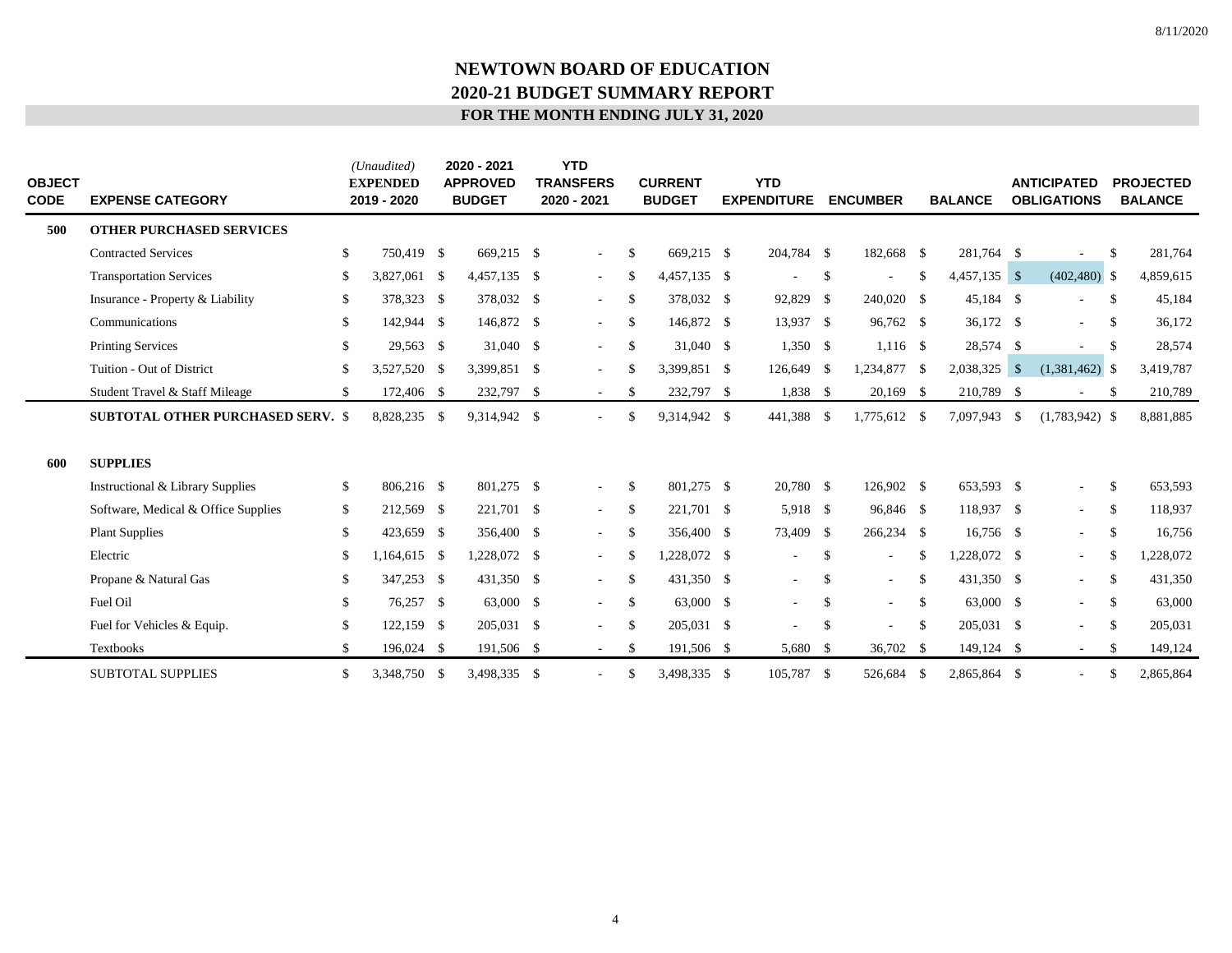| <b>OBJECT</b><br><b>CODE</b> | <b>EXPENSE CATEGORY</b>                  |              | (Unaudited)<br><b>EXPENDED</b><br>2019 - 2020 | 2020 - 2021<br><b>APPROVED</b><br><b>BUDGET</b> | <b>YTD</b><br><b>TRANSFERS</b><br>2020 - 2021 |               | <b>CURRENT</b><br><b>BUDGET</b> | <b>YTD</b><br><b>EXPENDITURE</b> |              | <b>ENCUMBER</b> |               | <b>BALANCE</b> | <b>ANTICIPATED</b><br><b>OBLIGATIONS</b> |               | <b>PROJECTED</b><br><b>BALANCE</b> |
|------------------------------|------------------------------------------|--------------|-----------------------------------------------|-------------------------------------------------|-----------------------------------------------|---------------|---------------------------------|----------------------------------|--------------|-----------------|---------------|----------------|------------------------------------------|---------------|------------------------------------|
| 500                          | <b>OTHER PURCHASED SERVICES</b>          |              |                                               |                                                 |                                               |               |                                 |                                  |              |                 |               |                |                                          |               |                                    |
|                              | <b>Contracted Services</b>               | \$           | 750,419 \$                                    | 669,215 \$                                      | $\sim$                                        | S             | 669,215 \$                      | 204,784 \$                       |              | 182,668 \$      |               | 281,764 \$     | $\overline{a}$                           | \$            | 281,764                            |
|                              | <b>Transportation Services</b>           | \$           | 3,827,061 \$                                  | 4,457,135 \$                                    | $\sim$                                        | -S            | 4,457,135 \$                    | $\sim$                           | \$           | ٠               | <sup>\$</sup> | $4,457,135$ \$ | $(402, 480)$ \$                          |               | 4,859,615                          |
|                              | Insurance - Property & Liability         | \$           | 378,323 \$                                    | 378,032 \$                                      | $\sim$                                        | $\mathbb{S}$  | 378,032 \$                      | 92,829 \$                        |              | 240,020 \$      |               | 45,184 \$      |                                          | <sup>S</sup>  | 45,184                             |
|                              | Communications                           | $\mathbb{S}$ | 142,944 \$                                    | 146,872 \$                                      | $\sim$                                        | -S            | 146,872 \$                      | 13,937 \$                        |              | 96,762 \$       |               | 36,172 \$      | $\overline{a}$                           | \$            | 36,172                             |
|                              | <b>Printing Services</b>                 | \$           | 29,563 \$                                     | 31,040 \$                                       | $\sim$                                        | \$            | 31,040 \$                       | $1,350$ \$                       |              | $1,116$ \$      |               | 28,574 \$      | ٠                                        | \$            | 28,574                             |
|                              | Tuition - Out of District                | \$           | 3,527,520 \$                                  | 3,399,851 \$                                    |                                               | \$.           | 3,399,851 \$                    | 126,649 \$                       |              | 1,234,877 \$    |               | 2,038,325 \$   | $(1,381,462)$ \$                         |               | 3,419,787                          |
|                              | Student Travel & Staff Mileage           | \$           | 172,406 \$                                    | 232,797 \$                                      | $\sim$                                        | S             | 232,797 \$                      | 1,838 \$                         |              | $20,169$ \$     |               | 210,789 \$     | ÷,                                       | <sup>\$</sup> | 210,789                            |
|                              | <b>SUBTOTAL OTHER PURCHASED SERV. \$</b> |              | 8,828,235 \$                                  | 9,314,942 \$                                    |                                               | \$.           | 9,314,942 \$                    | 441,388 \$                       |              | 1,775,612 \$    |               | 7,097,943 \$   | $(1,783,942)$ \$                         |               | 8,881,885                          |
| 600                          | <b>SUPPLIES</b>                          |              |                                               |                                                 |                                               |               |                                 |                                  |              |                 |               |                |                                          |               |                                    |
|                              | Instructional & Library Supplies         | \$           | 806,216 \$                                    | 801,275 \$                                      | $\sim$                                        | -S            | 801,275 \$                      | 20.780 \$                        |              | 126,902 \$      |               | 653,593 \$     | $\overline{\phantom{a}}$                 | $\mathbb{S}$  | 653,593                            |
|                              | Software, Medical & Office Supplies      | \$           | 212,569 \$                                    | 221,701 \$                                      | $\sim$                                        | \$            | 221,701 \$                      | 5,918 \$                         |              | 96,846 \$       |               | 118,937 \$     | $\sim$                                   | \$            | 118,937                            |
|                              | <b>Plant Supplies</b>                    | \$           | 423,659 \$                                    | 356,400 \$                                      | $\sim$                                        | -S            | 356,400 \$                      | 73,409 \$                        |              | 266,234 \$      |               | $16,756$ \$    | $\overline{\phantom{a}}$                 | \$            | 16,756                             |
|                              | Electric                                 | \$           | $,164,615$ \$                                 | 1,228,072 \$                                    |                                               | -S            | 1,228,072 \$                    |                                  | \$           | $\sim$          | \$            | 1,228,072 \$   | $\sim$                                   | \$            | 1,228,072                          |
|                              | Propane & Natural Gas                    | \$           | 347,253 \$                                    | 431,350 \$                                      | $\sim$                                        | -S            | 431,350 \$                      | $\sim$                           | \$           | $\sim$          | <sup>\$</sup> | 431,350 \$     | $\overline{\phantom{a}}$                 | \$            | 431,350                            |
|                              | Fuel Oil                                 | \$           | 76,257 \$                                     | 63,000 \$                                       | $\sim$                                        | -S            | 63,000 \$                       | $\sim$                           | \$           | $\sim$          | \$            | 63,000 \$      | $\sim$                                   | S             | 63,000                             |
|                              | Fuel for Vehicles & Equip.               | $\mathbb{S}$ | $122,159$ \$                                  | 205,031 \$                                      |                                               | <sup>\$</sup> | 205,031 \$                      |                                  | $\mathbb{S}$ | ٠               | <sup>\$</sup> | 205,031 \$     | ٠                                        | -S            | 205,031                            |
|                              | Textbooks                                | \$           | 196,024 \$                                    | 191,506 \$                                      | $\sim$                                        | \$.           | 191,506 \$                      | 5,680 \$                         |              | 36,702 \$       |               | 149,124 \$     | $\sim$                                   | \$            | 149,124                            |
|                              | <b>SUBTOTAL SUPPLIES</b>                 | \$           | 3,348,750 \$                                  | 3,498,335 \$                                    |                                               | \$.           | 3,498,335 \$                    | 105,787 \$                       |              | 526,684         | -S            | 2,865,864 \$   |                                          | \$            | 2,865,864                          |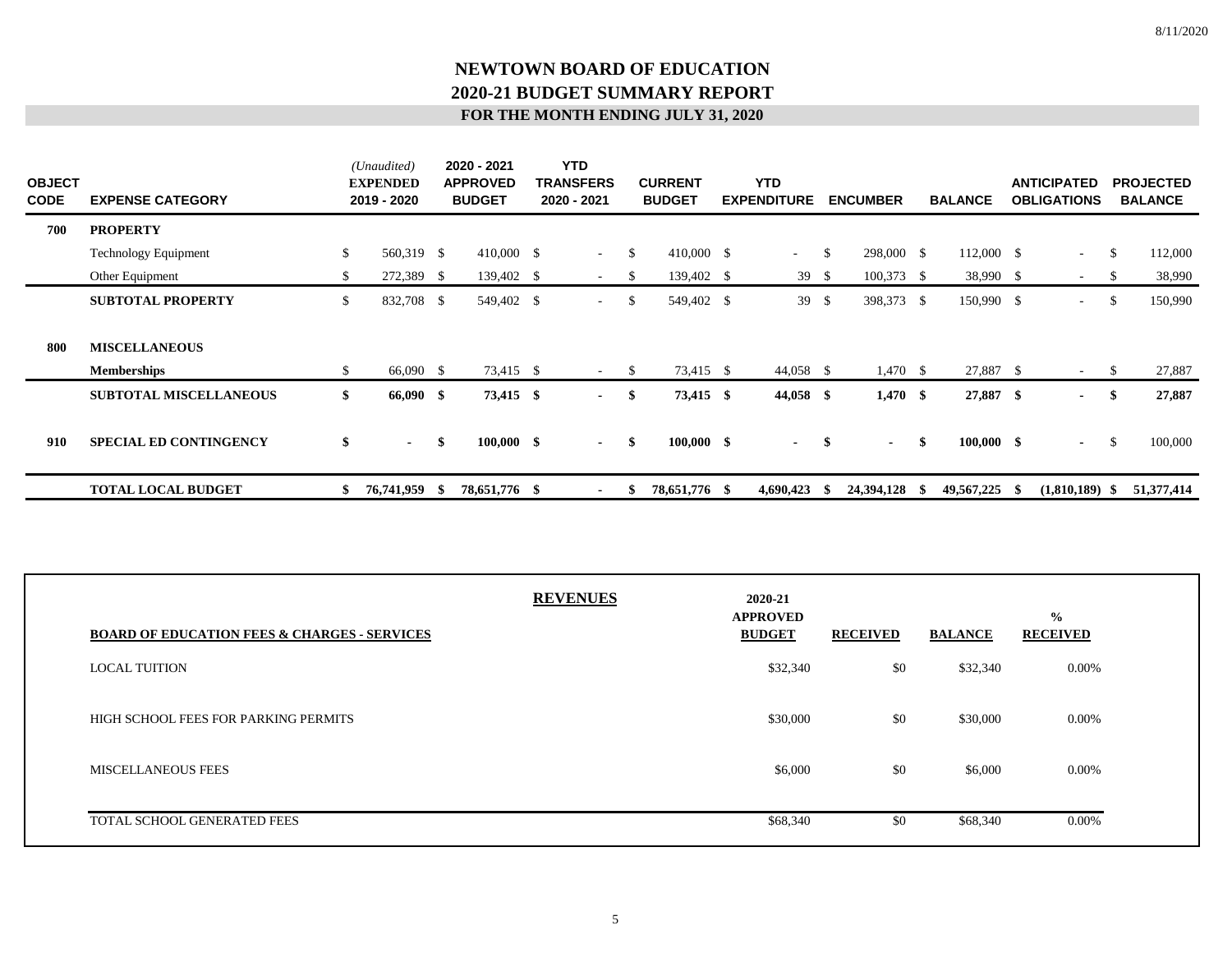| <b>OBJECT</b><br><b>CODE</b> | <b>EXPENSE CATEGORY</b>                    |              | (Unaudited)<br><b>EXPENDED</b><br>2019 - 2020 |     | 2020 - 2021<br><b>APPROVED</b><br><b>BUDGET</b> | <b>YTD</b><br>TRANSFERS<br>2020 - 2021 |     | <b>CURRENT</b><br><b>BUDGET</b> | <b>YTD</b><br><b>EXPENDITURE</b> |               | <b>ENCUMBER</b> |      | <b>BALANCE</b>     |      | <b>ANTICIPATED</b><br><b>OBLIGATIONS</b> |               | <b>PROJECTED</b><br><b>BALANCE</b> |
|------------------------------|--------------------------------------------|--------------|-----------------------------------------------|-----|-------------------------------------------------|----------------------------------------|-----|---------------------------------|----------------------------------|---------------|-----------------|------|--------------------|------|------------------------------------------|---------------|------------------------------------|
| 700                          | <b>PROPERTY</b>                            |              |                                               |     |                                                 |                                        |     |                                 |                                  |               |                 |      |                    |      |                                          |               |                                    |
|                              | <b>Technology Equipment</b>                | $\mathbb{S}$ | 560,319 \$                                    |     | 410,000 \$                                      | $\sim$                                 | \$  | $410,000$ \$                    | $\sim 100$                       | <sup>\$</sup> | 298,000 \$      |      | 112,000 \$         |      | $\sim$                                   | <sup>\$</sup> | 112,000                            |
|                              | Other Equipment                            | \$           | 272,389 \$                                    |     | 139,402 \$                                      | $\overline{\phantom{a}}$               | \$  | 139,402 \$                      | 39                               | - \$          | $100,373$ \$    |      | 38,990 \$          |      | $\sim$                                   | -S            | 38,990                             |
|                              | <b>SUBTOTAL PROPERTY</b>                   | \$           | 832,708 \$                                    |     | 549,402 \$                                      | $\sim$                                 | \$  | 549,402 \$                      | 39                               | <sup>\$</sup> | 398,373 \$      |      | 150,990 \$         |      | $\sim$                                   |               | 150,990                            |
| 800                          | <b>MISCELLANEOUS</b><br><b>Memberships</b> | \$           | 66,090 \$                                     |     | 73,415 \$                                       | $\sim$                                 | S   | 73,415 \$                       | 44,058 \$                        |               | $1,470$ \$      |      | 27,887 \$          |      | $\sim$                                   | -S            | 27,887                             |
|                              | <b>SUBTOTAL MISCELLANEOUS</b>              | \$           | 66,090 \$                                     |     | 73,415 \$                                       | $\sim$                                 | -\$ | 73,415 \$                       | 44,058 \$                        |               | $1,470$ \$      |      | 27,887 \$          |      | $\sim$                                   | -S            | 27,887                             |
| 910                          | <b>SPECIAL ED CONTINGENCY</b>              | \$           | $\sim 100$                                    | -\$ | $100,000$ \$                                    | $\sim$                                 | -\$ | $100,000 \quad$ \$              | $\sim$                           | S.            | $\sim$          | \$   | $100,000 \quad$ \$ |      | $\sim$                                   | - \$          | 100,000                            |
|                              | <b>TOTAL LOCAL BUDGET</b>                  | \$           | 76,741,959 \$                                 |     | 78,651,776 \$                                   | $\overline{\phantom{a}}$               |     | 78,651,776 \$                   | 4,690,423                        | ъ.            | 24,394,128      | - 70 | 49,567,225         | - 55 | $(1,810,189)$ \$                         |               | 51,377,414                         |

| <b>BOARD OF EDUCATION FEES &amp; CHARGES - SERVICES</b> | <b>REVENUES</b> | 2020-21<br><b>APPROVED</b><br><b>BUDGET</b> | <b>RECEIVED</b> | <b>BALANCE</b> | $\frac{0}{0}$<br><b>RECEIVED</b> |
|---------------------------------------------------------|-----------------|---------------------------------------------|-----------------|----------------|----------------------------------|
| <b>LOCAL TUITION</b>                                    |                 | \$32,340                                    | \$0             | \$32,340       | $0.00\%$                         |
| HIGH SCHOOL FEES FOR PARKING PERMITS                    |                 | \$30,000                                    | \$0             | \$30,000       | $0.00\%$                         |
| <b>MISCELLANEOUS FEES</b>                               |                 | \$6,000                                     | \$0             | \$6,000        | $0.00\%$                         |
| TOTAL SCHOOL GENERATED FEES                             |                 | \$68,340                                    | \$0             | \$68,340       | 0.00%                            |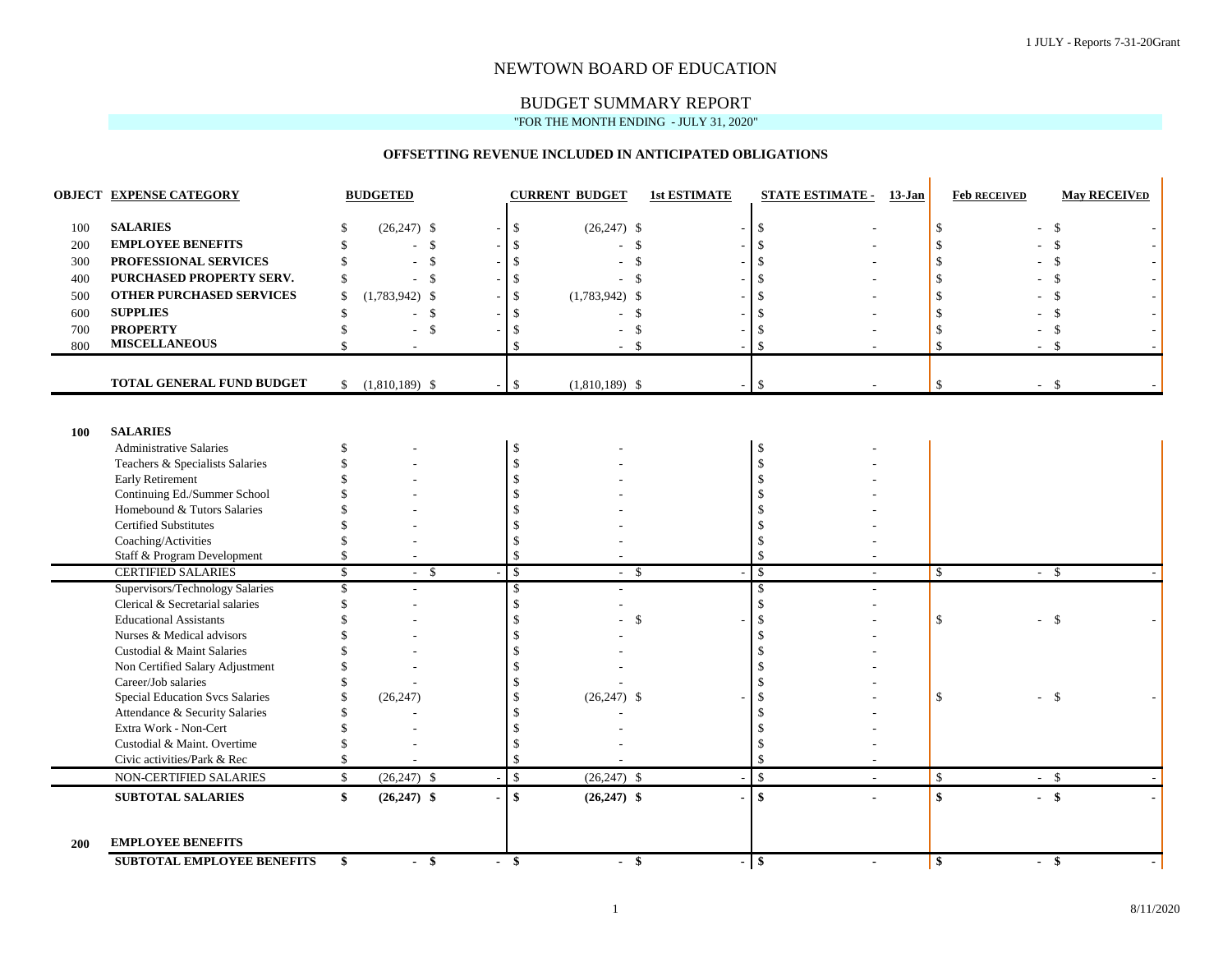#### NEWTOWN BOARD OF EDUCATION

#### BUDGET SUMMARY REPORT "FOR THE MONTH ENDING - JULY 31, 2020"

# **OFFSETTING REVENUE INCLUDED IN ANTICIPATED OBLIGATIONS**

|            | OBJECT EXPENSE CATEGORY                                 |               | <b>BUDGETED</b>          |                          |               | <b>CURRENT BUDGET</b> | <b>1st ESTIMATE</b>      |               | <b>STATE ESTIMATE - 13-Jan</b> |                    | <b>Feb RECEIVED</b> | <b>May RECEIVED</b> |
|------------|---------------------------------------------------------|---------------|--------------------------|--------------------------|---------------|-----------------------|--------------------------|---------------|--------------------------------|--------------------|---------------------|---------------------|
| 100        | <b>SALARIES</b>                                         | £.            | $(26,247)$ \$            | $\overline{\phantom{a}}$ | \$            | $(26,247)$ \$         | $\overline{\phantom{a}}$ | $\mathbb{S}$  |                                | \$                 | $\overline{a}$      | $\mathcal{S}$       |
| 200        | <b>EMPLOYEE BENEFITS</b>                                | \$            |                          | $^{\circ}$               | S.            |                       | $\mathbb{S}$             | $\mathcal{S}$ |                                |                    |                     | $\mathcal{S}$       |
| 300        | PROFESSIONAL SERVICES                                   | \$            |                          | - \$                     | \$            |                       | $\mathbb{S}$             | $\mathcal{S}$ |                                |                    |                     | $\mathcal{S}$       |
| 400        | PURCHASED PROPERTY SERV.                                | $\mathcal{S}$ | $-5$                     |                          | \$            | - \$                  |                          | $\mathcal{S}$ |                                |                    |                     | $\mathbb{S}$        |
|            | <b>OTHER PURCHASED SERVICES</b>                         | \$.           |                          |                          |               |                       |                          | \$.           |                                |                    |                     |                     |
| 500        |                                                         | $\mathcal{S}$ | $(1,783,942)$ \$         |                          |               | $(1,783,942)$ \$      |                          | $\mathcal{S}$ |                                |                    |                     | \$                  |
| 600        | <b>SUPPLIES</b>                                         |               | $-$ \$                   |                          | -S            |                       | $\mathcal{S}$            |               |                                |                    |                     | $\mathcal{S}$       |
| 700        | <b>PROPERTY</b><br><b>MISCELLANEOUS</b>                 |               | $-$ \$                   |                          | S             |                       | \$                       | \$.           |                                |                    |                     | \$                  |
| 800        |                                                         | \$            | $\overline{\phantom{a}}$ |                          | \$            |                       | $\mathcal{S}$            | <sup>\$</sup> |                                | <sup>\$</sup>      |                     | $\mathcal{S}$       |
|            | TOTAL GENERAL FUND BUDGET                               |               | $$(1,810,189)$ \\$       | $\blacksquare$           | $\mathbb{S}$  | $(1,810,189)$ \$      | $\overline{\phantom{a}}$ | $\mathbb{S}$  |                                | $\mathbb{S}$       | $-$ \$              |                     |
|            |                                                         |               |                          |                          |               |                       |                          |               |                                |                    |                     |                     |
|            |                                                         |               |                          |                          |               |                       |                          |               |                                |                    |                     |                     |
| <b>100</b> | <b>SALARIES</b>                                         |               |                          |                          |               |                       |                          |               |                                |                    |                     |                     |
|            | <b>Administrative Salaries</b>                          | \$.           |                          |                          | \$            |                       |                          | $\mathcal{S}$ |                                |                    |                     |                     |
|            | Teachers & Specialists Salaries                         |               |                          |                          |               |                       |                          | \$.           |                                |                    |                     |                     |
|            | Early Retirement                                        |               |                          |                          |               |                       |                          | $\mathcal{S}$ |                                |                    |                     |                     |
|            | Continuing Ed./Summer School                            |               |                          |                          |               |                       |                          |               |                                |                    |                     |                     |
|            | Homebound & Tutors Salaries                             |               |                          |                          |               |                       |                          |               |                                |                    |                     |                     |
|            | <b>Certified Substitutes</b>                            |               |                          |                          |               |                       |                          |               |                                |                    |                     |                     |
|            | Coaching/Activities                                     |               |                          |                          |               |                       |                          |               |                                |                    |                     |                     |
|            | Staff & Program Development                             | <sup>\$</sup> |                          |                          | \$.           |                       |                          | ŗ,            |                                |                    |                     |                     |
|            | <b>CERTIFIED SALARIES</b>                               | \$            | $-$ \$                   |                          | $\mathbb{S}$  | $-$ \$                |                          | $\mathcal{S}$ | $\overline{\phantom{a}}$       | $\mathcal{S}$      | $-$ \$              |                     |
|            | Supervisors/Technology Salaries                         | $\mathbb{S}$  |                          |                          | $\mathcal{S}$ |                       |                          | $\mathcal{S}$ |                                |                    |                     |                     |
|            | Clerical & Secretarial salaries                         |               |                          |                          | \$            |                       |                          | -S            |                                |                    |                     |                     |
|            | <b>Educational Assistants</b>                           |               |                          |                          |               |                       | \$                       | $\mathcal{S}$ |                                | <sup>\$</sup>      | L.                  | $\mathbf S$         |
|            | Nurses & Medical advisors                               |               |                          |                          |               |                       |                          |               |                                |                    |                     |                     |
|            | Custodial & Maint Salaries                              |               |                          |                          |               |                       |                          |               |                                |                    |                     |                     |
|            | Non Certified Salary Adjustment                         |               |                          |                          |               |                       |                          |               |                                |                    |                     |                     |
|            | Career/Job salaries                                     |               |                          |                          |               |                       |                          | \$.           |                                | <sup>\$</sup>      |                     | $\mathbf{s}$        |
|            | Special Education Svcs Salaries                         |               | (26, 247)                |                          |               | $(26,247)$ \$         |                          |               |                                |                    | ÷.                  |                     |
|            | Attendance & Security Salaries<br>Extra Work - Non-Cert |               |                          |                          |               |                       |                          |               |                                |                    |                     |                     |
|            | Custodial & Maint. Overtime                             |               |                          |                          |               |                       |                          |               |                                |                    |                     |                     |
|            | Civic activities/Park & Rec                             |               |                          |                          | \$.           |                       |                          | <sup>\$</sup> |                                |                    |                     |                     |
|            |                                                         | $\mathbb{S}$  |                          |                          | $\mathbb{S}$  | $(26,247)$ \$         |                          | $\mathcal{S}$ |                                | $\mathbf{\hat{S}}$ | $-$ \$              |                     |
|            | NON-CERTIFIED SALARIES                                  |               | $(26,247)$ \$            |                          |               |                       |                          |               |                                |                    |                     |                     |
|            | <b>SUBTOTAL SALARIES</b>                                | \$            | $(26,247)$ \$            |                          | \$            | $(26,247)$ \$         | $\blacksquare$           | \$            |                                | \$                 | $-$ \$              |                     |
|            |                                                         |               |                          |                          |               |                       |                          |               |                                |                    |                     |                     |
| 200        | <b>EMPLOYEE BENEFITS</b>                                |               |                          |                          |               |                       |                          |               |                                |                    |                     |                     |
|            | SUBTOTAL EMPLOYEE BENEFITS                              | \$            | $-$ \$                   |                          | $-$ \$        | $-$ \$                | $\overline{a}$           | \$            |                                | $\mathbf{\$}$      | $-$ \$              |                     |